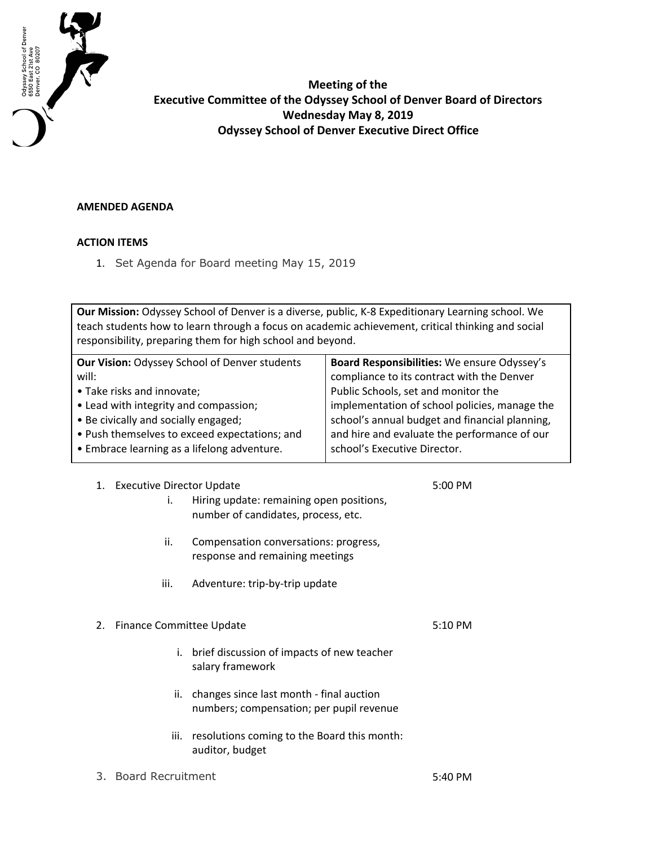

**Meeting of the Executive Committee of the Odyssey School of Denver Board of Directors Wednesday May 8, 2019 Odyssey School of Denver Executive Direct Office**

## **AMENDED AGENDA**

## **ACTION ITEMS**

1. Set Agenda for Board meeting May 15, 2019

**Our Mission:** Odyssey School of Denver is a diverse, public, K-8 Expeditionary Learning school. We teach students how to learn through a focus on academic achievement, critical thinking and social responsibility, preparing them for high school and beyond.

| Our Vision: Odyssey School of Denver students | Board Responsibilities: We ensure Odyssey's    |
|-----------------------------------------------|------------------------------------------------|
| will:                                         | compliance to its contract with the Denver     |
| • Take risks and innovate;                    | Public Schools, set and monitor the            |
| • Lead with integrity and compassion;         | implementation of school policies, manage the  |
| • Be civically and socially engaged;          | school's annual budget and financial planning, |
| • Push themselves to exceed expectations; and | and hire and evaluate the performance of our   |
| • Embrace learning as a lifelong adventure.   | school's Executive Director.                   |
|                                               |                                                |

| 1. | <b>Executive Director Update</b> |                                                                                      | 5:00 PM   |
|----|----------------------------------|--------------------------------------------------------------------------------------|-----------|
|    | i.                               | Hiring update: remaining open positions,<br>number of candidates, process, etc.      |           |
|    | ii.                              | Compensation conversations: progress,<br>response and remaining meetings             |           |
|    | iii.                             | Adventure: trip-by-trip update                                                       |           |
|    |                                  |                                                                                      |           |
| 2. | Finance Committee Update         |                                                                                      | $5:10$ PM |
|    | i.                               | brief discussion of impacts of new teacher<br>salary framework                       |           |
|    | ii.                              | changes since last month - final auction<br>numbers; compensation; per pupil revenue |           |
|    | iii.                             | resolutions coming to the Board this month:<br>auditor, budget                       |           |
|    |                                  |                                                                                      |           |